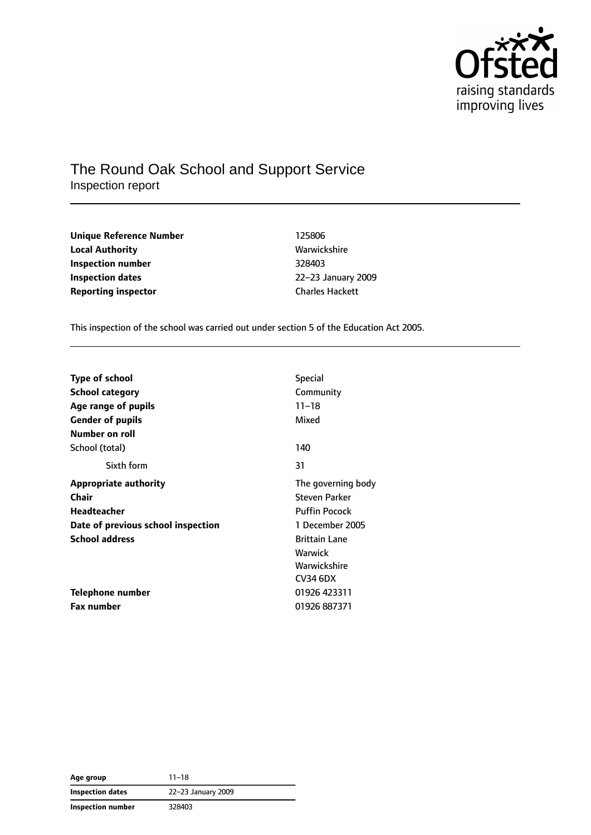

## The Round Oak School and Support Service Inspection report

| 125806                 |
|------------------------|
| Warwickshire           |
| 328403                 |
| 22-23 January 2        |
| <b>Charles Hackett</b> |
|                        |

**Unique Reference Number** 125806 **Local Authority** Warwickshire **Inspection number** 328403 **Inspection dates** 22–23 January 2009

This inspection of the school was carried out under section 5 of the Education Act 2005.

| <b>Type of school</b>              | <b>Special</b>       |
|------------------------------------|----------------------|
| <b>School category</b>             | Community            |
| Age range of pupils                | $11 - 18$            |
| <b>Gender of pupils</b>            | Mixed                |
| Number on roll                     |                      |
| School (total)                     | 140                  |
| Sixth form                         | 31                   |
| <b>Appropriate authority</b>       | The governing body   |
| Chair                              | Steven Parker        |
| Headteacher                        | <b>Puffin Pocock</b> |
| Date of previous school inspection | 1 December 2005      |
| <b>School address</b>              | <b>Brittain Lane</b> |
|                                    | Warwick              |
|                                    | Warwickshire         |
|                                    | CV34 6DX             |
| Telephone number                   | 01926 423311         |
| <b>Fax number</b>                  | 01926 887371         |

| Age group         | $11 - 18$          |
|-------------------|--------------------|
| Inspection dates  | 22-23 January 2009 |
| Inspection number | 328403             |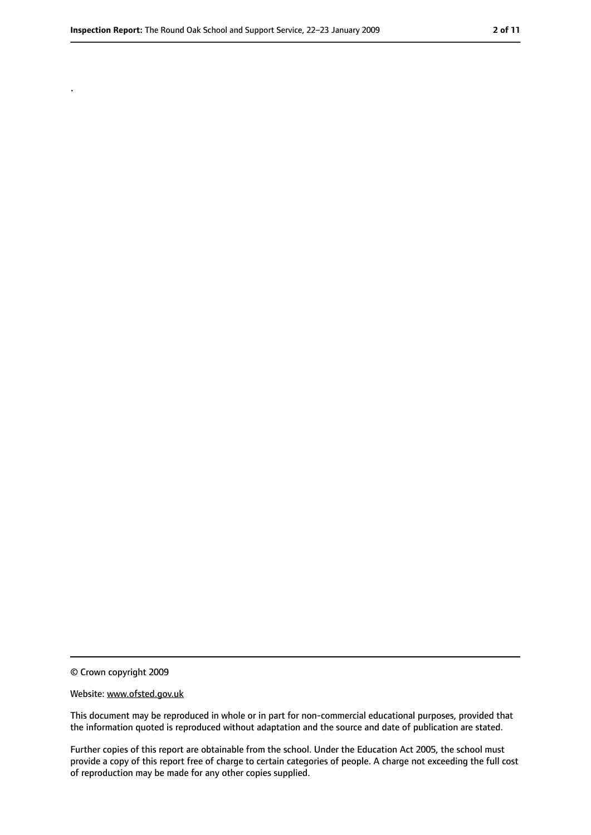.

<sup>©</sup> Crown copyright 2009

Website: www.ofsted.gov.uk

This document may be reproduced in whole or in part for non-commercial educational purposes, provided that the information quoted is reproduced without adaptation and the source and date of publication are stated.

Further copies of this report are obtainable from the school. Under the Education Act 2005, the school must provide a copy of this report free of charge to certain categories of people. A charge not exceeding the full cost of reproduction may be made for any other copies supplied.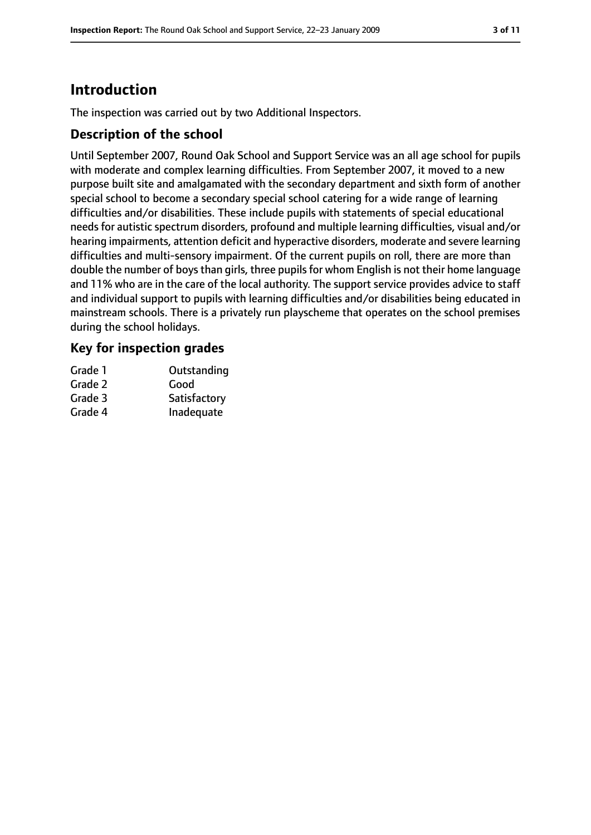# **Introduction**

The inspection was carried out by two Additional Inspectors.

### **Description of the school**

Until September 2007, Round Oak School and Support Service was an all age school for pupils with moderate and complex learning difficulties. From September 2007, it moved to a new purpose built site and amalgamated with the secondary department and sixth form of another special school to become a secondary special school catering for a wide range of learning difficulties and/or disabilities. These include pupils with statements of special educational needs for autistic spectrum disorders, profound and multiple learning difficulties, visual and/or hearing impairments, attention deficit and hyperactive disorders, moderate and severe learning difficulties and multi-sensory impairment. Of the current pupils on roll, there are more than double the number of boys than girls, three pupils for whom English is not their home language and 11% who are in the care of the local authority. The support service provides advice to staff and individual support to pupils with learning difficulties and/or disabilities being educated in mainstream schools. There is a privately run playscheme that operates on the school premises during the school holidays.

### **Key for inspection grades**

| Grade 1 | Outstanding  |
|---------|--------------|
| Grade 2 | Good         |
| Grade 3 | Satisfactory |
| Grade 4 | Inadequate   |
|         |              |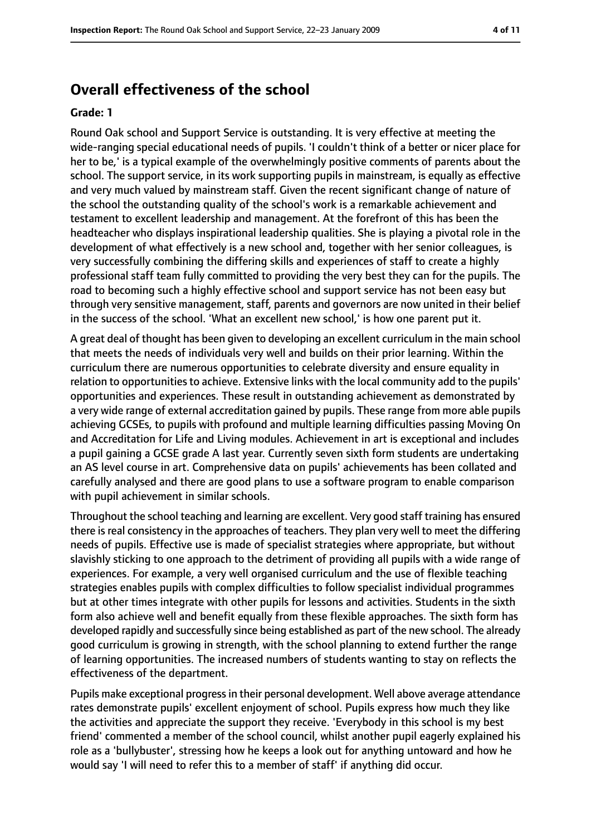### **Overall effectiveness of the school**

#### **Grade: 1**

Round Oak school and Support Service is outstanding. It is very effective at meeting the wide-ranging special educational needs of pupils. 'I couldn't think of a better or nicer place for her to be,' is a typical example of the overwhelmingly positive comments of parents about the school. The support service, in its work supporting pupils in mainstream, is equally as effective and very much valued by mainstream staff. Given the recent significant change of nature of the school the outstanding quality of the school's work is a remarkable achievement and testament to excellent leadership and management. At the forefront of this has been the headteacher who displays inspirational leadership qualities. She is playing a pivotal role in the development of what effectively is a new school and, together with her senior colleagues, is very successfully combining the differing skills and experiences of staff to create a highly professional staff team fully committed to providing the very best they can for the pupils. The road to becoming such a highly effective school and support service has not been easy but through very sensitive management, staff, parents and governors are now united in their belief in the success of the school. 'What an excellent new school,' is how one parent put it.

A great deal of thought has been given to developing an excellent curriculum in the main school that meets the needs of individuals very well and builds on their prior learning. Within the curriculum there are numerous opportunities to celebrate diversity and ensure equality in relation to opportunities to achieve. Extensive links with the local community add to the pupils' opportunities and experiences. These result in outstanding achievement as demonstrated by a very wide range of external accreditation gained by pupils. These range from more able pupils achieving GCSEs, to pupils with profound and multiple learning difficulties passing Moving On and Accreditation for Life and Living modules. Achievement in art is exceptional and includes a pupil gaining a GCSE grade A last year. Currently seven sixth form students are undertaking an AS level course in art. Comprehensive data on pupils' achievements has been collated and carefully analysed and there are good plans to use a software program to enable comparison with pupil achievement in similar schools.

Throughout the school teaching and learning are excellent. Very good staff training has ensured there is real consistency in the approaches of teachers. They plan very well to meet the differing needs of pupils. Effective use is made of specialist strategies where appropriate, but without slavishly sticking to one approach to the detriment of providing all pupils with a wide range of experiences. For example, a very well organised curriculum and the use of flexible teaching strategies enables pupils with complex difficulties to follow specialist individual programmes but at other times integrate with other pupils for lessons and activities. Students in the sixth form also achieve well and benefit equally from these flexible approaches. The sixth form has developed rapidly and successfully since being established as part of the new school. The already good curriculum is growing in strength, with the school planning to extend further the range of learning opportunities. The increased numbers of students wanting to stay on reflects the effectiveness of the department.

Pupils make exceptional progress in their personal development. Well above average attendance rates demonstrate pupils' excellent enjoyment of school. Pupils express how much they like the activities and appreciate the support they receive. 'Everybody in this school is my best friend' commented a member of the school council, whilst another pupil eagerly explained his role as a 'bullybuster', stressing how he keeps a look out for anything untoward and how he would say 'I will need to refer this to a member of staff' if anything did occur.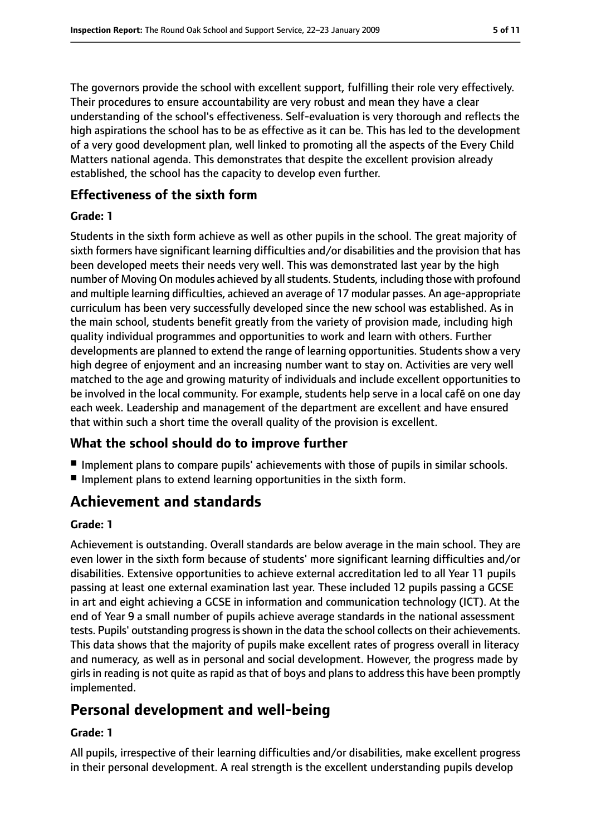The governors provide the school with excellent support, fulfilling their role very effectively. Their procedures to ensure accountability are very robust and mean they have a clear understanding of the school's effectiveness. Self-evaluation is very thorough and reflects the high aspirations the school has to be as effective as it can be. This has led to the development of a very good development plan, well linked to promoting all the aspects of the Every Child Matters national agenda. This demonstrates that despite the excellent provision already established, the school has the capacity to develop even further.

### **Effectiveness of the sixth form**

#### **Grade: 1**

Students in the sixth form achieve as well as other pupils in the school. The great majority of sixth formers have significant learning difficulties and/or disabilities and the provision that has been developed meets their needs very well. This was demonstrated last year by the high number of Moving On modules achieved by all students. Students, including those with profound and multiple learning difficulties, achieved an average of 17 modular passes. An age-appropriate curriculum has been very successfully developed since the new school was established. As in the main school, students benefit greatly from the variety of provision made, including high quality individual programmes and opportunities to work and learn with others. Further developments are planned to extend the range of learning opportunities. Students show a very high degree of enjoyment and an increasing number want to stay on. Activities are very well matched to the age and growing maturity of individuals and include excellent opportunities to be involved in the local community. For example, students help serve in a local café on one day each week. Leadership and management of the department are excellent and have ensured that within such a short time the overall quality of the provision is excellent.

### **What the school should do to improve further**

- Implement plans to compare pupils' achievements with those of pupils in similar schools.
- Implement plans to extend learning opportunities in the sixth form.

# **Achievement and standards**

#### **Grade: 1**

Achievement is outstanding. Overall standards are below average in the main school. They are even lower in the sixth form because of students' more significant learning difficulties and/or disabilities. Extensive opportunities to achieve external accreditation led to all Year 11 pupils passing at least one external examination last year. These included 12 pupils passing a GCSE in art and eight achieving a GCSE in information and communication technology (ICT). At the end of Year 9 a small number of pupils achieve average standards in the national assessment tests. Pupils' outstanding progress is shown in the data the school collects on their achievements. This data shows that the majority of pupils make excellent rates of progress overall in literacy and numeracy, as well as in personal and social development. However, the progress made by girls in reading is not quite as rapid as that of boys and plans to address this have been promptly implemented.

# **Personal development and well-being**

#### **Grade: 1**

All pupils, irrespective of their learning difficulties and/or disabilities, make excellent progress in their personal development. A real strength is the excellent understanding pupils develop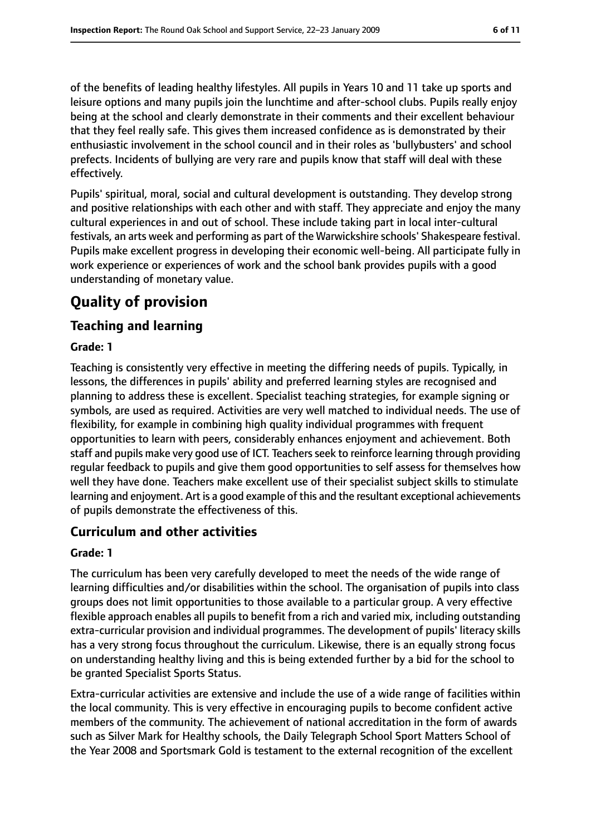of the benefits of leading healthy lifestyles. All pupils in Years 10 and 11 take up sports and leisure options and many pupils join the lunchtime and after-school clubs. Pupils really enjoy being at the school and clearly demonstrate in their comments and their excellent behaviour that they feel really safe. This gives them increased confidence as is demonstrated by their enthusiastic involvement in the school council and in their roles as 'bullybusters' and school prefects. Incidents of bullying are very rare and pupils know that staff will deal with these effectively.

Pupils' spiritual, moral, social and cultural development is outstanding. They develop strong and positive relationships with each other and with staff. They appreciate and enjoy the many cultural experiences in and out of school. These include taking part in local inter-cultural festivals, an arts week and performing as part of the Warwickshire schools' Shakespeare festival. Pupils make excellent progress in developing their economic well-being. All participate fully in work experience or experiences of work and the school bank provides pupils with a good understanding of monetary value.

# **Quality of provision**

### **Teaching and learning**

#### **Grade: 1**

Teaching is consistently very effective in meeting the differing needs of pupils. Typically, in lessons, the differences in pupils' ability and preferred learning styles are recognised and planning to address these is excellent. Specialist teaching strategies, for example signing or symbols, are used as required. Activities are very well matched to individual needs. The use of flexibility, for example in combining high quality individual programmes with frequent opportunities to learn with peers, considerably enhances enjoyment and achievement. Both staff and pupils make very good use of ICT. Teachers seek to reinforce learning through providing regular feedback to pupils and give them good opportunities to self assess for themselves how well they have done. Teachers make excellent use of their specialist subject skills to stimulate learning and enjoyment. Art is a good example of this and the resultant exceptional achievements of pupils demonstrate the effectiveness of this.

#### **Curriculum and other activities**

#### **Grade: 1**

The curriculum has been very carefully developed to meet the needs of the wide range of learning difficulties and/or disabilities within the school. The organisation of pupils into class groups does not limit opportunities to those available to a particular group. A very effective flexible approach enables all pupils to benefit from a rich and varied mix, including outstanding extra-curricular provision and individual programmes. The development of pupils' literacy skills has a very strong focus throughout the curriculum. Likewise, there is an equally strong focus on understanding healthy living and this is being extended further by a bid for the school to be granted Specialist Sports Status.

Extra-curricular activities are extensive and include the use of a wide range of facilities within the local community. This is very effective in encouraging pupils to become confident active members of the community. The achievement of national accreditation in the form of awards such as Silver Mark for Healthy schools, the Daily Telegraph School Sport Matters School of the Year 2008 and Sportsmark Gold is testament to the external recognition of the excellent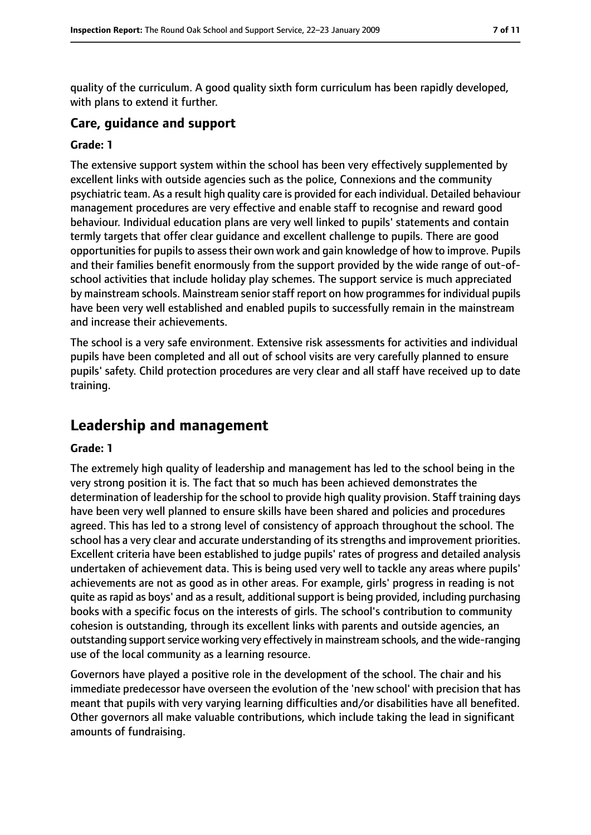quality of the curriculum. A good quality sixth form curriculum has been rapidly developed, with plans to extend it further.

#### **Care, guidance and support**

#### **Grade: 1**

The extensive support system within the school has been very effectively supplemented by excellent links with outside agencies such as the police, Connexions and the community psychiatric team. As a result high quality care is provided for each individual. Detailed behaviour management procedures are very effective and enable staff to recognise and reward good behaviour. Individual education plans are very well linked to pupils' statements and contain termly targets that offer clear guidance and excellent challenge to pupils. There are good opportunities for pupils to assess their own work and gain knowledge of how to improve. Pupils and their families benefit enormously from the support provided by the wide range of out-ofschool activities that include holiday play schemes. The support service is much appreciated by mainstream schools. Mainstream senior staff report on how programmes for individual pupils have been very well established and enabled pupils to successfully remain in the mainstream and increase their achievements.

The school is a very safe environment. Extensive risk assessments for activities and individual pupils have been completed and all out of school visits are very carefully planned to ensure pupils' safety. Child protection procedures are very clear and all staff have received up to date training.

## **Leadership and management**

#### **Grade: 1**

The extremely high quality of leadership and management has led to the school being in the very strong position it is. The fact that so much has been achieved demonstrates the determination of leadership for the school to provide high quality provision. Staff training days have been very well planned to ensure skills have been shared and policies and procedures agreed. This has led to a strong level of consistency of approach throughout the school. The school has a very clear and accurate understanding of its strengths and improvement priorities. Excellent criteria have been established to judge pupils' rates of progress and detailed analysis undertaken of achievement data. This is being used very well to tackle any areas where pupils' achievements are not as good as in other areas. For example, girls' progress in reading is not quite as rapid as boys' and as a result, additional support is being provided, including purchasing books with a specific focus on the interests of girls. The school's contribution to community cohesion is outstanding, through its excellent links with parents and outside agencies, an outstanding support service working very effectively in mainstream schools, and the wide-ranging use of the local community as a learning resource.

Governors have played a positive role in the development of the school. The chair and his immediate predecessor have overseen the evolution of the 'new school' with precision that has meant that pupils with very varying learning difficulties and/or disabilities have all benefited. Other governors all make valuable contributions, which include taking the lead in significant amounts of fundraising.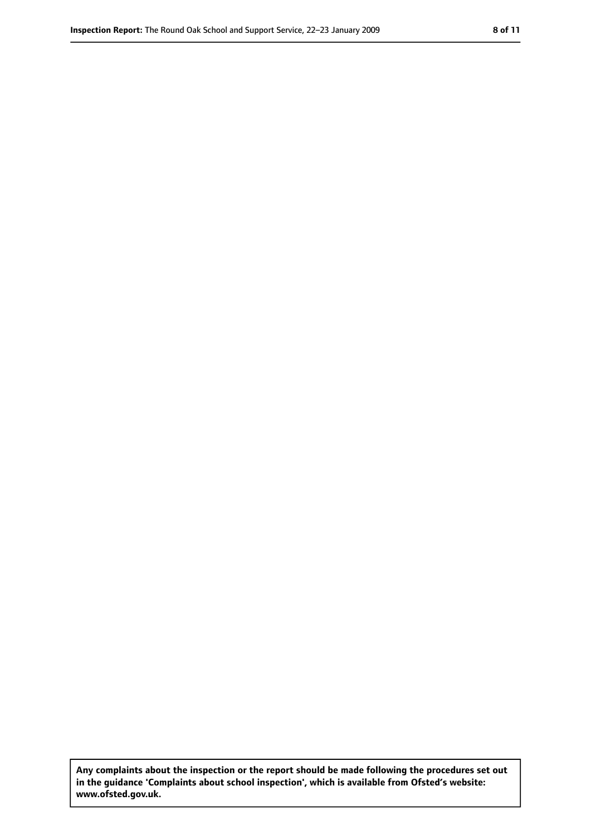**Any complaints about the inspection or the report should be made following the procedures set out in the guidance 'Complaints about school inspection', which is available from Ofsted's website: www.ofsted.gov.uk.**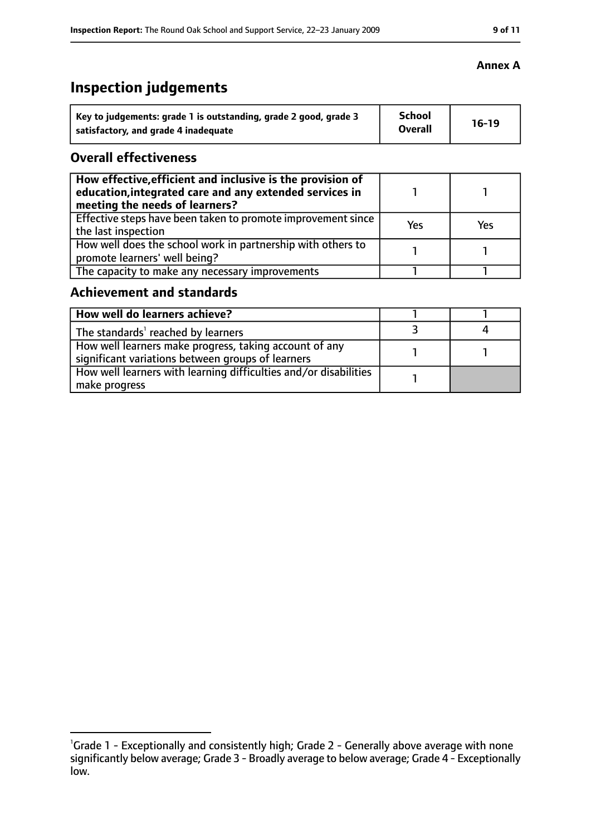#### **Inspection Report:** The Round Oak School and Support Service, 22-23 January 2009 **9 9 11**

# **Inspection judgements**

| Key to judgements: grade 1 is outstanding, grade 2 good, grade 3 | <b>School</b>  | $16-19$ |
|------------------------------------------------------------------|----------------|---------|
| satisfactory, and grade 4 inadequate                             | <b>Overall</b> |         |

#### **Overall effectiveness**

| How effective, efficient and inclusive is the provision of<br>education, integrated care and any extended services in<br>meeting the needs of learners? |     |     |
|---------------------------------------------------------------------------------------------------------------------------------------------------------|-----|-----|
| Effective steps have been taken to promote improvement since<br>the last inspection                                                                     | Yes | Yes |
| How well does the school work in partnership with others to<br>promote learners' well being?                                                            |     |     |
| The capacity to make any necessary improvements                                                                                                         |     |     |

### **Achievement and standards**

| How well do learners achieve?                                                                               |  |
|-------------------------------------------------------------------------------------------------------------|--|
| The standards <sup>1</sup> reached by learners                                                              |  |
| How well learners make progress, taking account of any<br>significant variations between groups of learners |  |
| How well learners with learning difficulties and/or disabilities<br>make progress                           |  |

#### **Annex A**

<sup>&</sup>lt;sup>1</sup>Grade 1 - Exceptionally and consistently high; Grade 2 - Generally above average with none significantly below average; Grade 3 - Broadly average to below average; Grade 4 - Exceptionally low.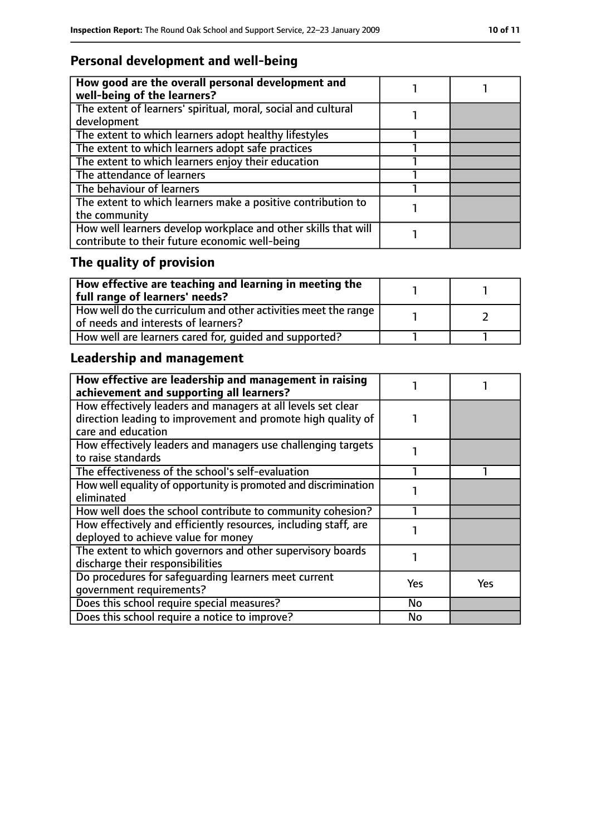## **Personal development and well-being**

| How good are the overall personal development and<br>well-being of the learners?                                 |  |
|------------------------------------------------------------------------------------------------------------------|--|
| The extent of learners' spiritual, moral, social and cultural<br>development                                     |  |
| The extent to which learners adopt healthy lifestyles                                                            |  |
| The extent to which learners adopt safe practices                                                                |  |
| The extent to which learners enjoy their education                                                               |  |
| The attendance of learners                                                                                       |  |
| The behaviour of learners                                                                                        |  |
| The extent to which learners make a positive contribution to<br>the community                                    |  |
| How well learners develop workplace and other skills that will<br>contribute to their future economic well-being |  |

# **The quality of provision**

| How effective are teaching and learning in meeting the<br>full range of learners' needs?              |  |
|-------------------------------------------------------------------------------------------------------|--|
| How well do the curriculum and other activities meet the range<br>of needs and interests of learners? |  |
| How well are learners cared for, quided and supported?                                                |  |

# **Leadership and management**

| How effective are leadership and management in raising<br>achievement and supporting all learners?                                                 |            |     |
|----------------------------------------------------------------------------------------------------------------------------------------------------|------------|-----|
| How effectively leaders and managers at all levels set clear<br>direction leading to improvement and promote high quality of<br>care and education |            |     |
| How effectively leaders and managers use challenging targets<br>to raise standards                                                                 |            |     |
| The effectiveness of the school's self-evaluation                                                                                                  |            |     |
| How well equality of opportunity is promoted and discrimination<br>eliminated                                                                      |            |     |
| How well does the school contribute to community cohesion?                                                                                         |            |     |
| How effectively and efficiently resources, including staff, are<br>deployed to achieve value for money                                             |            |     |
| The extent to which governors and other supervisory boards<br>discharge their responsibilities                                                     |            |     |
| Do procedures for safequarding learners meet current<br>qovernment requirements?                                                                   | <b>Yes</b> | Yes |
| Does this school require special measures?                                                                                                         | No         |     |
| Does this school require a notice to improve?                                                                                                      | No         |     |